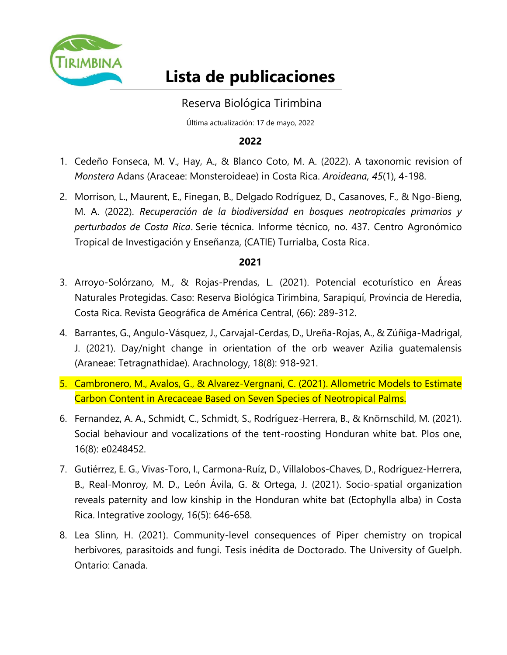

# **Lista de publicaciones**

## Reserva Biológica Tirimbina

Última actualización: 17 de mayo, 2022

## **2022**

- 1. Cedeño Fonseca, M. V., Hay, A., & Blanco Coto, M. A. (2022). A taxonomic revision of *Monstera* Adans (Araceae: Monsteroideae) in Costa Rica. *Aroideana, 45*(1), 4-198.
- 2. Morrison, L., Maurent, E., Finegan, B., Delgado Rodríguez, D., Casanoves, F., & Ngo-Bieng, M. A. (2022). *Recuperación de la biodiversidad en bosques neotropicales primarios y perturbados de Costa Rica*. Serie técnica. Informe técnico, no. 437. Centro Agronómico Tropical de Investigación y Enseñanza, (CATIE) Turrialba, Costa Rica.

- 3. Arroyo-Solórzano, M., & Rojas-Prendas, L. (2021). Potencial ecoturístico en Áreas Naturales Protegidas. Caso: Reserva Biológica Tirimbina, Sarapiquí, Provincia de Heredia, Costa Rica. Revista Geográfica de América Central, (66): 289-312.
- 4. Barrantes, G., Angulo-Vásquez, J., Carvajal-Cerdas, D., Ureña-Rojas, A., & Zúñiga-Madrigal, J. (2021). Day/night change in orientation of the orb weaver Azilia guatemalensis (Araneae: Tetragnathidae). Arachnology, 18(8): 918-921.
- 5. Cambronero, M., Avalos, G., & Alvarez-Vergnani, C. (2021). Allometric Models to Estimate Carbon Content in Arecaceae Based on Seven Species of Neotropical Palms.
- 6. Fernandez, A. A., Schmidt, C., Schmidt, S., Rodríguez-Herrera, B., & Knörnschild, M. (2021). Social behaviour and vocalizations of the tent-roosting Honduran white bat. Plos one, 16(8): e0248452.
- 7. Gutiérrez, E. G., Vivas‐Toro, I., Carmona‐Ruíz, D., Villalobos‐Chaves, D., Rodríguez‐Herrera, B., Real‐Monroy, M. D., León Ávila, G. & Ortega, J. (2021). Socio‐spatial organization reveals paternity and low kinship in the Honduran white bat (Ectophylla alba) in Costa Rica. Integrative zoology, 16(5): 646-658.
- 8. Lea Slinn, H. (2021). Community-level consequences of Piper chemistry on tropical herbivores, parasitoids and fungi. Tesis inédita de Doctorado. The University of Guelph. Ontario: Canada.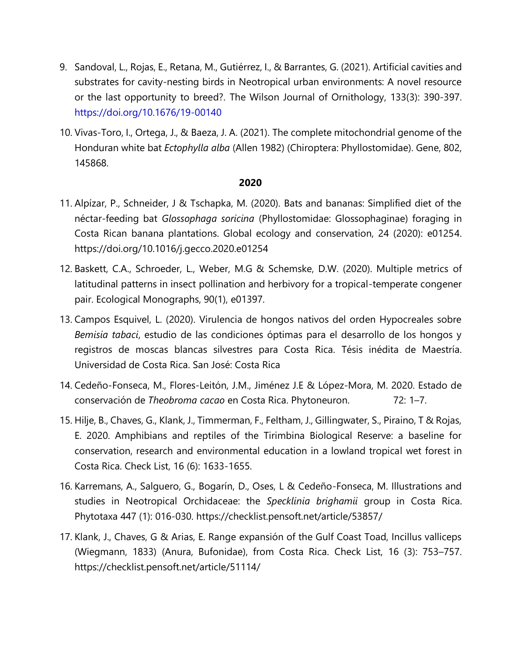- 9. Sandoval, L., Rojas, E., Retana, M., Gutiérrez, I., & Barrantes, G. (2021). Artificial cavities and substrates for cavity-nesting birds in Neotropical urban environments: A novel resource or the last opportunity to breed?. The Wilson Journal of Ornithology, 133(3): 390-397. <https://doi.org/10.1676/19-00140>
- 10. Vivas-Toro, I., Ortega, J., & Baeza, J. A. (2021). The complete mitochondrial genome of the Honduran white bat *Ectophylla alba* (Allen 1982) (Chiroptera: Phyllostomidae). Gene, 802, 145868.

- 11. Alpízar, P., Schneider, J & Tschapka, M. (2020). Bats and bananas: Simplified diet of the néctar-feeding bat *Glossophaga soricina* (Phyllostomidae: Glossophaginae) foraging in Costa Rican banana plantations. Global ecology and conservation, 24 (2020): e01254. <https://doi.org/10.1016/j.gecco.2020.e01254>
- 12. Baskett, C.A., Schroeder, L., Weber, M.G & Schemske, D.W. (2020). Multiple metrics of latitudinal patterns in insect pollination and herbivory for a tropical-temperate congener pair. Ecological Monographs, 90(1), e01397.
- 13. Campos Esquivel, L. (2020). Virulencia de hongos nativos del orden Hypocreales sobre *Bemisia tabaci*, estudio de las condiciones óptimas para el desarrollo de los hongos y registros de moscas blancas silvestres para Costa Rica. Tésis inédita de Maestría. Universidad de Costa Rica. San José: Costa Rica
- 14. Cedeño-Fonseca, M., Flores-Leitón, J.M., Jiménez J.E & López-Mora, M. 2020. Estado de conservación de *Theobroma cacao* en Costa Rica. Phytoneuron. 72: 1–7.
- 15. Hilje, B., Chaves, G., Klank, J., Timmerman, F., Feltham, J., Gillingwater, S., Piraino, T & Rojas, E. 2020. Amphibians and reptiles of the Tirimbina Biological Reserve: a baseline for conservation, research and environmental education in a lowland tropical wet forest in Costa Rica. Check List, 16 (6): 1633-1655.
- 16. Karremans, A., Salguero, G., Bogarín, D., Oses, L & Cedeño-Fonseca, M. Illustrations and studies in Neotropical Orchidaceae: the *Specklinia brighamii* group in Costa Rica. Phytotaxa 447 (1): 016-030.<https://checklist.pensoft.net/article/53857/>
- 17. Klank, J., Chaves, G & Arias, E. Range expansión of the Gulf Coast Toad, Incillus valliceps (Wiegmann, 1833) (Anura, Bufonidae), from Costa Rica. Check List, 16 (3): 753–757. https://checklist.pensoft.net/article/51114/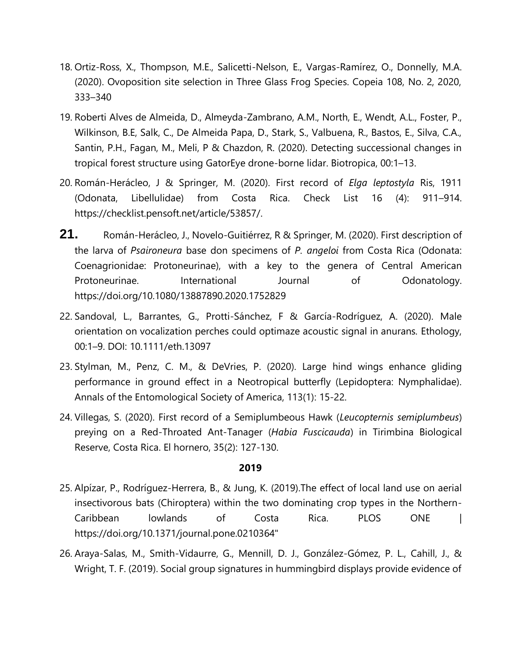- 18. Ortiz-Ross, X., Thompson, M.E., Salicetti-Nelson, E., Vargas-Ramírez, O., Donnelly, M.A. (2020). Ovoposition site selection in Three Glass Frog Species. Copeia 108, No. 2, 2020, 333–340
- 19. Roberti Alves de Almeida, D., Almeyda-Zambrano, A.M., North, E., Wendt, A.L., Foster, P., Wilkinson, B.E, Salk, C., De Almeida Papa, D., Stark, S., Valbuena, R., Bastos, E., Silva, C.A., Santin, P.H., Fagan, M., Meli, P & Chazdon, R. (2020). Detecting successional changes in tropical forest structure using GatorEye drone-borne lidar. Biotropica, 00:1–13.
- 20. Román-Herácleo, J & Springer, M. (2020). First record of *Elga leptostyla* Ris, 1911 (Odonata, Libellulidae) from Costa Rica. Check List 16 (4): 911–914. [https://checklist.pensoft.net/article/53857/.](https://checklist.pensoft.net/article/53857/)
- **21.** Román-Herácleo, J., Novelo-Guitiérrez, R & Springer, M. (2020). First description of the larva of *Psaironeura* base don specimens of *P. angeloi* from Costa Rica (Odonata: Coenagrionidae: Protoneurinae), with a key to the genera of Central American Protoneurinae. International Journal of Odonatology. https://doi.org/10.1080/13887890.2020.1752829
- 22. Sandoval, L., Barrantes, G., Protti-Sánchez, F & García-Rodríguez, A. (2020). Male orientation on vocalization perches could optimaze acoustic signal in anurans. Ethology, 00:1–9. DOI: 10.1111/eth.13097
- 23. Stylman, M., Penz, C. M., & DeVries, P. (2020). Large hind wings enhance gliding performance in ground effect in a Neotropical butterfly (Lepidoptera: Nymphalidae). Annals of the Entomological Society of America, 113(1): 15-22.
- 24. Villegas, S. (2020). First record of a Semiplumbeous Hawk (*Leucopternis semiplumbeus*) preying on a Red-Throated Ant-Tanager (*Habia Fuscicauda*) in Tirimbina Biological Reserve, Costa Rica. El hornero, 35(2): 127-130.

- 25. Alpízar, P., Rodríguez-Herrera, B., & Jung, K. (2019).The effect of local land use on aerial insectivorous bats (Chiroptera) within the two dominating crop types in the Northern-Caribbean lowlands of Costa Rica. PLOS ONE | https://doi.org/10.1371/journal.pone.0210364"
- 26. Araya-Salas, M., Smith-Vidaurre, G., Mennill, D. J., González-Gómez, P. L., Cahill, J., & Wright, T. F. (2019). Social group signatures in hummingbird displays provide evidence of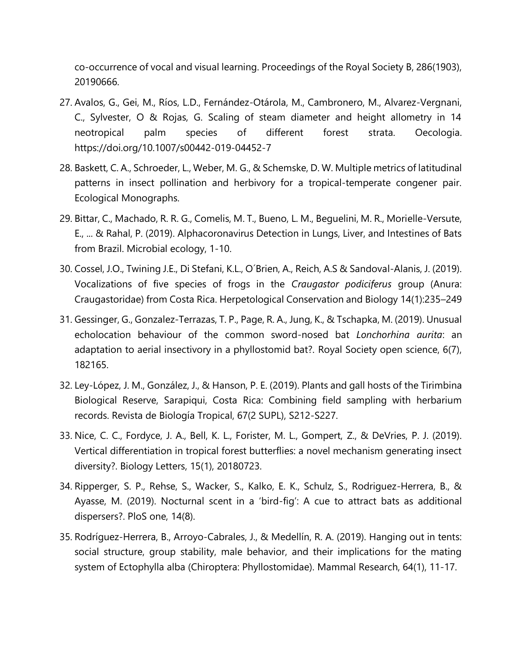co-occurrence of vocal and visual learning. Proceedings of the Royal Society B, 286(1903), 20190666.

- 27. Avalos, G., Gei, M., Ríos, L.D., Fernández-Otárola, M., Cambronero, M., Alvarez-Vergnani, C., Sylvester, O & Rojas, G. Scaling of steam diameter and height allometry in 14 neotropical palm species of different forest strata. Oecologia. https://doi.org/10.1007/s00442-019-04452-7
- 28. Baskett, C. A., Schroeder, L., Weber, M. G., & Schemske, D. W. Multiple metrics of latitudinal patterns in insect pollination and herbivory for a tropical-temperate congener pair. Ecological Monographs.
- 29. Bittar, C., Machado, R. R. G., Comelis, M. T., Bueno, L. M., Beguelini, M. R., Morielle-Versute, E., ... & Rahal, P. (2019). Alphacoronavirus Detection in Lungs, Liver, and Intestines of Bats from Brazil. Microbial ecology, 1-10.
- 30. Cossel, J.O., Twining J.E., Di Stefani, K.L., O´Brien, A., Reich, A.S & Sandoval-Alanis, J. (2019). Vocalizations of five species of frogs in the *Craugastor podiciferus* group (Anura: Craugastoridae) from Costa Rica. Herpetological Conservation and Biology 14(1):235–249
- 31. Gessinger, G., Gonzalez-Terrazas, T. P., Page, R. A., Jung, K., & Tschapka, M. (2019). Unusual echolocation behaviour of the common sword-nosed bat *Lonchorhina aurita*: an adaptation to aerial insectivory in a phyllostomid bat?. Royal Society open science, 6(7), 182165.
- 32. Ley-López, J. M., González, J., & Hanson, P. E. (2019). Plants and gall hosts of the Tirimbina Biological Reserve, Sarapiqui, Costa Rica: Combining field sampling with herbarium records. Revista de Biología Tropical, 67(2 SUPL), S212-S227.
- 33. Nice, C. C., Fordyce, J. A., Bell, K. L., Forister, M. L., Gompert, Z., & DeVries, P. J. (2019). Vertical differentiation in tropical forest butterflies: a novel mechanism generating insect diversity?. Biology Letters, 15(1), 20180723.
- 34. Ripperger, S. P., Rehse, S., Wacker, S., Kalko, E. K., Schulz, S., Rodriguez-Herrera, B., & Ayasse, M. (2019). Nocturnal scent in a 'bird-fig': A cue to attract bats as additional dispersers?. PloS one, 14(8).
- 35. Rodríguez-Herrera, B., Arroyo-Cabrales, J., & Medellín, R. A. (2019). Hanging out in tents: social structure, group stability, male behavior, and their implications for the mating system of Ectophylla alba (Chiroptera: Phyllostomidae). Mammal Research, 64(1), 11-17.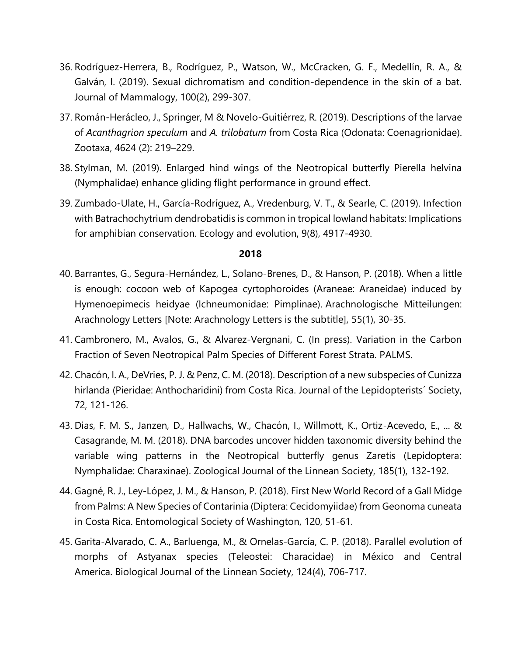- 36. Rodríguez-Herrera, B., Rodríguez, P., Watson, W., McCracken, G. F., Medellín, R. A., & Galván, I. (2019). Sexual dichromatism and condition-dependence in the skin of a bat. Journal of Mammalogy, 100(2), 299-307.
- 37. Román-Herácleo, J., Springer, M & Novelo-Guitiérrez, R. (2019). Descriptions of the larvae of *Acanthagrion speculum* and *A. trilobatum* from Costa Rica (Odonata: Coenagrionidae). Zootaxa, 4624 (2): 219–229.
- 38. Stylman, M. (2019). Enlarged hind wings of the Neotropical butterfly Pierella helvina (Nymphalidae) enhance gliding flight performance in ground effect.
- 39. Zumbado‐Ulate, H., García‐Rodríguez, A., Vredenburg, V. T., & Searle, C. (2019). Infection with Batrachochytrium dendrobatidis is common in tropical lowland habitats: Implications for amphibian conservation. Ecology and evolution, 9(8), 4917-4930.

- 40. Barrantes, G., Segura-Hernández, L., Solano-Brenes, D., & Hanson, P. (2018). When a little is enough: cocoon web of Kapogea cyrtophoroides (Araneae: Araneidae) induced by Hymenoepimecis heidyae (Ichneumonidae: Pimplinae). Arachnologische Mitteilungen: Arachnology Letters [Note: Arachnology Letters is the subtitle], 55(1), 30-35.
- 41. Cambronero, M., Avalos, G., & Alvarez-Vergnani, C. (In press). Variation in the Carbon Fraction of Seven Neotropical Palm Species of Different Forest Strata. PALMS.
- 42. [Chacón, I. A., DeVries, P. J. & Penz, C. M. \(2018\). Description of a new subspecies of Cunizza](https://bioone.org/journals/the-journal-of-the-lepidopterists-society/volume-72/issue-2/lepi.v72i2.a4/Description-of-a-New-Subspecies-of-iCunizza-hirlanda-i-Pieridae/10.18473/lepi.v72i2.a4.short)  [hirlanda \(Pieridae: Anthocharidini\) from Costa Rica. Journal of the Lepidopterists´ Society,](https://bioone.org/journals/the-journal-of-the-lepidopterists-society/volume-72/issue-2/lepi.v72i2.a4/Description-of-a-New-Subspecies-of-iCunizza-hirlanda-i-Pieridae/10.18473/lepi.v72i2.a4.short)  [72, 121-126.](https://bioone.org/journals/the-journal-of-the-lepidopterists-society/volume-72/issue-2/lepi.v72i2.a4/Description-of-a-New-Subspecies-of-iCunizza-hirlanda-i-Pieridae/10.18473/lepi.v72i2.a4.short)
- 43. Dias, F. M. S., Janzen, D., Hallwachs, W., Chacón, I., Willmott, K., Ortiz-Acevedo, E., ... & Casagrande, M. M. (2018). DNA barcodes uncover hidden taxonomic diversity behind the variable wing patterns in the Neotropical butterfly genus Zaretis (Lepidoptera: Nymphalidae: Charaxinae). Zoological Journal of the Linnean Society, 185(1), 132-192.
- 44. Gagné, R. J., Ley-López, J. M., & Hanson, P. (2018). First New World Record of a Gall Midge from Palms: A New Species of Contarinia (Diptera: Cecidomyiidae) from Geonoma cuneata in Costa Rica. Entomological Society of Washington, 120, 51-61.
- 45. Garita-Alvarado, C. A., Barluenga, M., & Ornelas-García, C. P. (2018). Parallel evolution of morphs of Astyanax species (Teleostei: Characidae) in México and Central America. Biological Journal of the Linnean Society, 124(4), 706-717.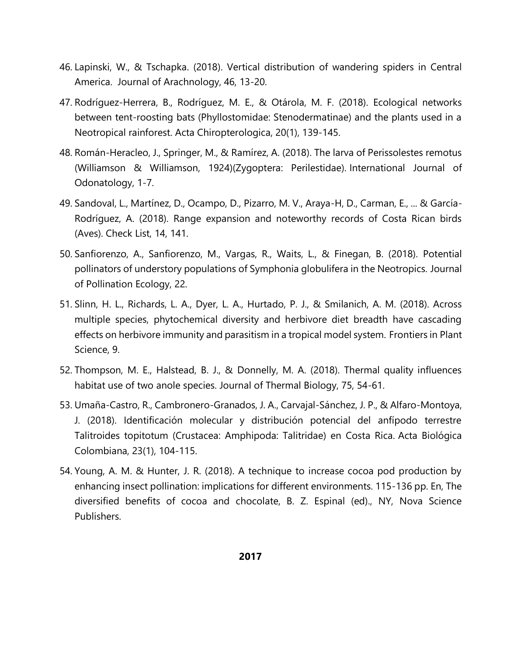- 46. Lapinski, W., & Tschapka. (2018). Vertical distribution of wandering spiders in Central America. Journal of Arachnology, 46, 13-20.
- 47. Rodríguez-Herrera, B., Rodríguez, M. E., & Otárola, M. F. (2018). Ecological networks between tent-roosting bats (Phyllostomidae: Stenodermatinae) and the plants used in a Neotropical rainforest. Acta Chiropterologica, 20(1), 139-145.
- 48. Román-Heracleo, J., Springer, M., & Ramírez, A. (2018). The larva of Perissolestes remotus (Williamson & Williamson, 1924)(Zygoptera: Perilestidae). International Journal of Odonatology, 1-7.
- 49. Sandoval, L., Martínez, D., Ocampo, D., Pizarro, M. V., Araya-H, D., Carman, E., ... & García-Rodríguez, A. (2018). Range expansion and noteworthy records of Costa Rican birds (Aves). Check List, 14, 141.
- 50. Sanfiorenzo, A., Sanfiorenzo, M., Vargas, R., Waits, L., & Finegan, B. (2018). Potential pollinators of understory populations of Symphonia globulifera in the Neotropics. Journal of Pollination Ecology, 22.
- 51. Slinn, H. L., Richards, L. A., Dyer, L. A., Hurtado, P. J., & Smilanich, A. M. (2018). Across multiple species, phytochemical diversity and herbivore diet breadth have cascading effects on herbivore immunity and parasitism in a tropical model system. Frontiers in Plant Science, 9.
- 52. [Thompson, M. E., Halstead, B. J., & Donnelly, M. A. \(2018\). Thermal quality influences](https://www.sciencedirect.com/science/article/pii/S0306456518300342)  [habitat use of two anole species. Journal of Thermal Biology, 75, 54-61.](https://www.sciencedirect.com/science/article/pii/S0306456518300342)
- 53. Umaña-Castro, R., Cambronero-Granados, J. A., Carvajal-Sánchez, J. P., & Alfaro-Montoya, J. (2018). Identificación molecular y distribución potencial del anfípodo terrestre Talitroides topitotum (Crustacea: Amphipoda: Talitridae) en Costa Rica. Acta Biológica Colombiana, 23(1), 104-115.
- 54. Young, A. M. & Hunter, J. R. (2018). A technique to increase cocoa pod production by enhancing insect pollination: implications for different environments. 115-136 pp. En, The diversified benefits of cocoa and chocolate, B. Z. Espinal (ed)., NY, Nova Science Publishers.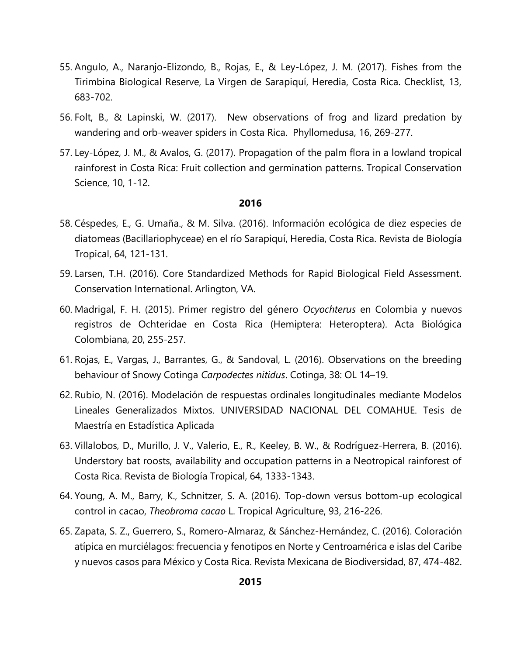- 55. Angulo, A., Naranjo-Elizondo, B., Rojas, E., & Ley-López, J. M. (2017). Fishes from the Tirimbina Biological Reserve, La Virgen de Sarapiquí, Heredia, Costa Rica. Checklist, 13, 683-702.
- 56. Folt, B., & Lapinski, W. (2017). New observations of frog and lizard predation by wandering and orb-weaver spiders in Costa Rica. Phyllomedusa, 16, 269-277.
- 57. Ley-López, J. M., & Avalos, G. (2017). Propagation of the palm flora in a lowland tropical rainforest in Costa Rica: Fruit collection and germination patterns. Tropical Conservation Science, 10, 1-12.

- 58. Céspedes, E., G. Umaña., & M. Silva. (2016). Información ecológica de diez especies de diatomeas (Bacillariophyceae) en el río Sarapiquí, Heredia, Costa Rica. Revista de Biología Tropical, 64, 121-131.
- 59. Larsen, T.H. (2016). Core Standardized Methods for Rapid Biological Field Assessment. Conservation International. Arlington, VA.
- 60. Madrigal, F. H. (2015). Primer registro del género *Ocyochterus* en Colombia y nuevos registros de Ochteridae en Costa Rica (Hemiptera: Heteroptera). Acta Biológica Colombiana, 20, 255-257.
- 61. Rojas, E., Vargas, J., Barrantes, G., & Sandoval, L. (2016). Observations on the breeding behaviour of Snowy Cotinga *Carpodectes nitidus*. Cotinga, 38: OL 14–19.
- 62. Rubio, N. (2016). Modelación de respuestas ordinales longitudinales mediante Modelos Lineales Generalizados Mixtos. UNIVERSIDAD NACIONAL DEL COMAHUE. Tesis de Maestría en Estadística Aplicada
- 63. Villalobos, D., Murillo, J. V., Valerio, E., R., Keeley, B. W., & Rodríguez-Herrera, B. (2016). Understory bat roosts, availability and occupation patterns in a Neotropical rainforest of Costa Rica. Revista de Biología Tropical, 64, 1333-1343.
- 64. Young, A. M., Barry, K., Schnitzer, S. A. (2016). Top-down versus bottom-up ecological control in cacao, *Theobroma cacao* L. Tropical Agriculture, 93, 216-226.
- 65. Zapata, S. Z., Guerrero, S., Romero-Almaraz, & Sánchez-Hernández, C. (2016). Coloración atípica en murciélagos: frecuencia y fenotipos en Norte y Centroamérica e islas del Caribe y nuevos casos para México y Costa Rica. Revista Mexicana de Biodiversidad, 87, 474-482.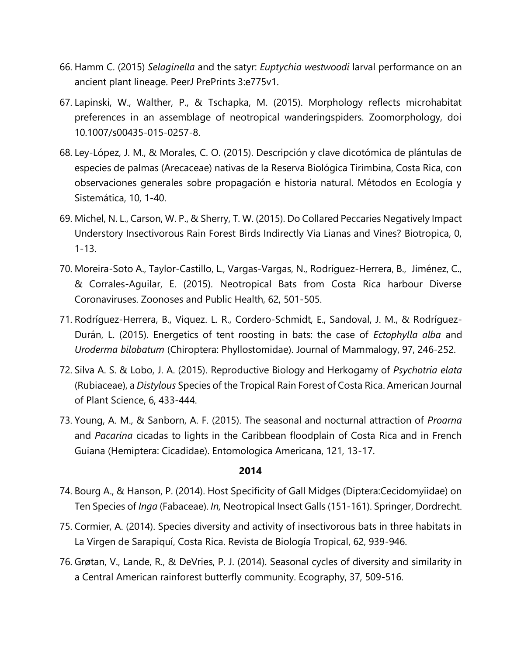- 66. Hamm C. (2015) *Selaginella* and the satyr: *Euptychia westwoodi* larval performance on an ancient plant lineage. PeerJ PrePrints 3:e775v1.
- 67. Lapinski, W., Walther, P., & Tschapka, M. (2015). Morphology reflects microhabitat preferences in an assemblage of neotropical wanderingspiders. Zoomorphology, doi 10.1007/s00435-015-0257-8.
- 68. Ley-López, J. M., & Morales, C. O. (2015). Descripción y clave dicotómica de plántulas de especies de palmas (Arecaceae) nativas de la Reserva Biológica Tirimbina, Costa Rica, con observaciones generales sobre propagación e historia natural. Métodos en Ecología y Sistemática, 10, 1-40.
- 69. Michel, N. L., Carson, W. P., & Sherry, T. W. (2015). Do Collared Peccaries Negatively Impact Understory Insectivorous Rain Forest Birds Indirectly Via Lianas and Vines? Biotropica, 0, 1-13.
- 70. Moreira-Soto A., Taylor-Castillo, L., Vargas-Vargas, N., Rodríguez-Herrera, B., Jiménez, C., & Corrales-Aguilar, E. (2015). Neotropical Bats from Costa Rica harbour Diverse Coronaviruses. Zoonoses and Public Health, 62, 501-505.
- 71. Rodríguez-Herrera, B., Viquez. L. R., Cordero-Schmidt, E., Sandoval, J. M., & Rodríguez-Durán, L. (2015). Energetics of tent roosting in bats: the case of *Ectophylla alba* and *Uroderma bilobatum* (Chiroptera: Phyllostomidae). Journal of Mammalogy, 97, 246-252.
- 72. Silva A. S. & Lobo, J. A. (2015). Reproductive Biology and Herkogamy of *Psychotria elata* (Rubiaceae), a *Distylous* Species of the Tropical Rain Forest of Costa Rica. American Journal of Plant Science, 6, 433-444.
- 73. Young, A. M., & Sanborn, A. F. (2015). The seasonal and nocturnal attraction of *Proarna* and *Pacarina* cicadas to lights in the Caribbean floodplain of Costa Rica and in French Guiana (Hemiptera: Cicadidae). Entomologica Americana, 121, 13-17.

- 74. Bourg A., & Hanson, P. (2014). Host Specificity of Gall Midges (Diptera:Cecidomyiidae) on Ten Species of *Inga* (Fabaceae). *In,* Neotropical Insect Galls (151-161). Springer, Dordrecht.
- 75. Cormier, A. (2014). Species diversity and activity of insectivorous bats in three habitats in La Virgen de Sarapiquí, Costa Rica. Revista de Biología Tropical, 62, 939-946.
- 76. Grøtan, V., Lande, R., & DeVries, P. J. (2014). Seasonal cycles of diversity and similarity in a Central American rainforest butterfly community. Ecography, 37, 509-516.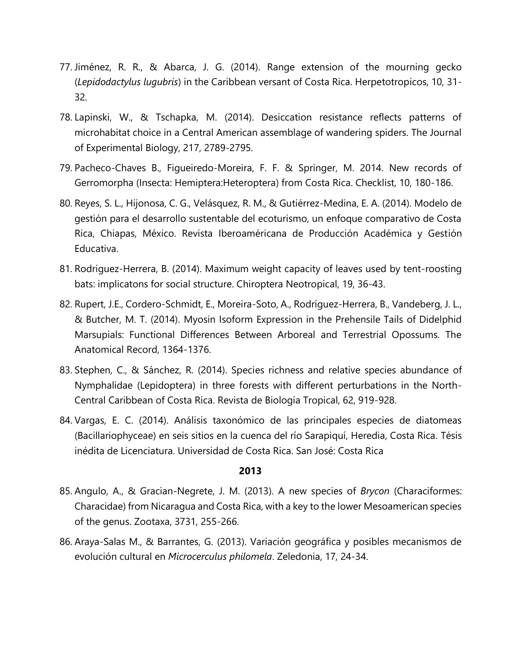- 77. Jiménez, R. R., & Abarca, J. G. (2014). Range extension of the mourning gecko (*Lepidodactylus lugubris*) in the Caribbean versant of Costa Rica. Herpetotropicos, 10, 31- 32.
- 78. Lapinski, W., & Tschapka, M. (2014). Desiccation resistance reflects patterns of microhabitat choice in a Central American assemblage of wandering spiders. The Journal of Experimental Biology, 217, 2789-2795.
- 79. Pacheco-Chaves B., Figueiredo-Moreira, F. F. & Springer, M. 2014. New records of Gerromorpha (Insecta: Hemiptera:Heteroptera) from Costa Rica. Checklist, 10, 180-186.
- 80. Reyes, S. L., Hijonosa, C. G., Velásquez, R. M., & Gutiérrez-Medina, E. A. (2014). Modelo de gestión para el desarrollo sustentable del ecoturismo, un enfoque comparativo de Costa Rica, Chiapas, México. Revista Iberoaméricana de Producción Académica y Gestión Educativa.
- 81. Rodriguez-Herrera, B. (2014). Maximum weight capacity of leaves used by tent-roosting bats: implicatons for social structure. Chiroptera Neotropical, 19, 36-43.
- 82. Rupert, J.E., Cordero-Schmidt, E., Moreira-Soto, A., Rodríguez-Herrera, B., Vandeberg, J. L., & Butcher, M. T. (2014). Myosin Isoform Expression in the Prehensile Tails of Didelphid Marsupials: Functional Differences Between Arboreal and Terrestrial Opossums. The Anatomical Record, 1364-1376.
- 83. Stephen, C., & Sánchez, R. (2014). Species richness and relative species abundance of Nymphalidae (Lepidoptera) in three forests with different perturbations in the North-Central Caribbean of Costa Rica. Revista de Biología Tropical, 62, 919-928.
- 84. Vargas, E. C. (2014). Análisis taxonómico de las principales especies de diatomeas (Bacillariophyceae) en seis sitios en la cuenca del río Sarapiquí, Heredia, Costa Rica. Tésis inédita de Licenciatura. Universidad de Costa Rica. San José: Costa Rica

- 85. Angulo, A., & Gracian-Negrete, J. M. (2013). A new species of *Brycon* (Characiformes: Characidae) from Nicaragua and Costa Rica, with a key to the lower Mesoamerican species of the genus. Zootaxa, 3731, 255-266.
- 86. Araya-Salas M., & Barrantes, G. (2013). Variación geográfica y posibles mecanismos de evolución cultural en *Microcerculus philomela*. Zeledonia, 17, 24-34.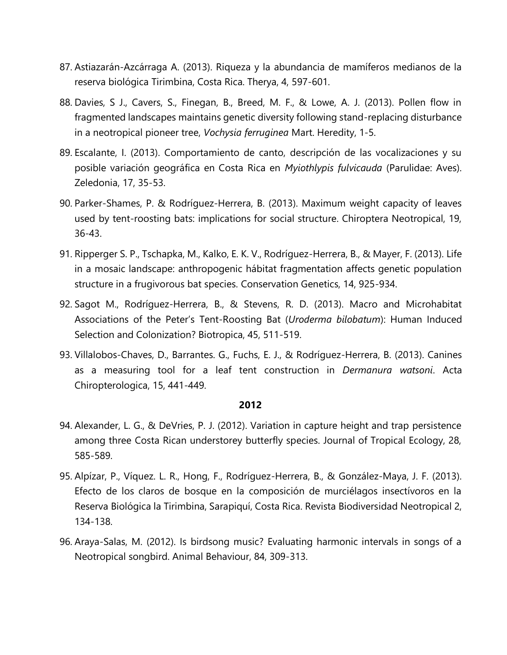- 87. Astiazarán-Azcárraga A. (2013). Riqueza y la abundancia de mamíferos medianos de la reserva biológica Tirimbina, Costa Rica. Therya, 4, 597-601.
- 88. Davies, S J., Cavers, S., Finegan, B., Breed, M. F., & Lowe, A. J. (2013). Pollen flow in fragmented landscapes maintains genetic diversity following stand-replacing disturbance in a neotropical pioneer tree, *Vochysia ferruginea* Mart. Heredity, 1-5.
- 89. Escalante, I. (2013). Comportamiento de canto, descripción de las vocalizaciones y su posible variación geográfica en Costa Rica en *Myiothlypis fulvicauda* (Parulidae: Aves). Zeledonia, 17, 35-53.
- 90. Parker-Shames, P. & Rodríguez-Herrera, B. (2013). Maximum weight capacity of leaves used by tent-roosting bats: implications for social structure. Chiroptera Neotropical, 19, 36-43.
- 91. Ripperger S. P., Tschapka, M., Kalko, E. K. V., Rodríguez-Herrera, B., & Mayer, F. (2013). Life in a mosaic landscape: anthropogenic hábitat fragmentation affects genetic population structure in a frugivorous bat species. Conservation Genetics, 14, 925-934.
- 92. Sagot M., Rodríguez-Herrera, B., & Stevens, R. D. (2013). Macro and Microhabitat Associations of the Peter's Tent-Roosting Bat (*Uroderma bilobatum*): Human Induced Selection and Colonization? Biotropica, 45, 511-519.
- 93. Villalobos-Chaves, D., Barrantes. G., Fuchs, E. J., & Rodríguez-Herrera, B. (2013). Canines as a measuring tool for a leaf tent construction in *Dermanura watsoni*. Acta Chiropterologica, 15, 441-449.

- 94. Alexander, L. G., & DeVries, P. J. (2012). Variation in capture height and trap persistence among three Costa Rican understorey butterfly species. Journal of Tropical Ecology, 28, 585-589.
- 95. Alpízar, P., Víquez. L. R., Hong, F., Rodríguez-Herrera, B., & González-Maya, J. F. (2013). Efecto de los claros de bosque en la composición de murciélagos insectívoros en la Reserva Biológica la Tirimbina, Sarapiquí, Costa Rica. Revista Biodiversidad Neotropical 2, 134-138.
- 96. Araya-Salas, M. (2012). Is birdsong music? Evaluating harmonic intervals in songs of a Neotropical songbird. Animal Behaviour, 84, 309-313.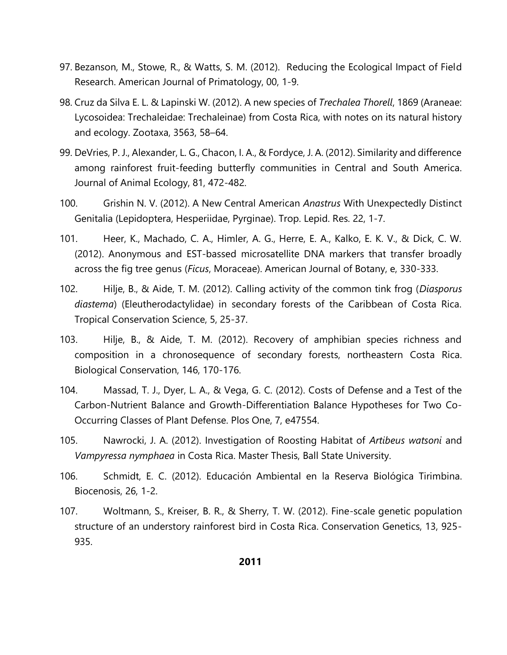- 97. Bezanson, M., Stowe, R., & Watts, S. M. (2012). Reducing the Ecological Impact of Field Research. American Journal of Primatology, 00, 1-9.
- 98. Cruz da Silva E. L. & Lapinski W. (2012). A new species of *Trechalea Thorell*, 1869 (Araneae: Lycosoidea: Trechaleidae: Trechaleinae) from Costa Rica, with notes on its natural history and ecology. Zootaxa, 3563, 58–64.
- 99. DeVries, P. J., Alexander, L. G., Chacon, I. A., & Fordyce, J. A. (2012). Similarity and difference among rainforest fruit-feeding butterfly communities in Central and South America. Journal of Animal Ecology, 81, 472-482.
- 100. Grishin N. V. (2012). A New Central American *Anastrus* With Unexpectedly Distinct Genitalia (Lepidoptera, Hesperiidae, Pyrginae). Trop. Lepid. Res. 22, 1-7.
- 101. Heer, K., Machado, C. A., Himler, A. G., Herre, E. A., Kalko, E. K. V., & Dick, C. W. (2012). Anonymous and EST-bassed microsatellite DNA markers that transfer broadly across the fig tree genus (*Ficus*, Moraceae). American Journal of Botany, e, 330-333.
- 102. Hilje, B., & Aide, T. M. (2012). Calling activity of the common tink frog (*Diasporus diastema*) (Eleutherodactylidae) in secondary forests of the Caribbean of Costa Rica. Tropical Conservation Science, 5, 25-37.
- 103. Hilje, B., & Aide, T. M. (2012). Recovery of amphibian species richness and composition in a chronosequence of secondary forests, northeastern Costa Rica. Biological Conservation, 146, 170-176.
- 104. Massad, T. J., Dyer, L. A., & Vega, G. C. (2012). Costs of Defense and a Test of the Carbon-Nutrient Balance and Growth-Differentiation Balance Hypotheses for Two Co-Occurring Classes of Plant Defense. Plos One, 7, e47554.
- 105. Nawrocki, J. A. (2012). Investigation of Roosting Habitat of *Artibeus watsoni* and *Vampyressa nymphaea* in Costa Rica. Master Thesis, Ball State University.
- 106. Schmidt, E. C. (2012). Educación Ambiental en la Reserva Biológica Tirimbina. Biocenosis, 26, 1-2.
- 107. Woltmann, S., Kreiser, B. R., & Sherry, T. W. (2012). Fine-scale genetic population structure of an understory rainforest bird in Costa Rica. Conservation Genetics, 13, 925- 935.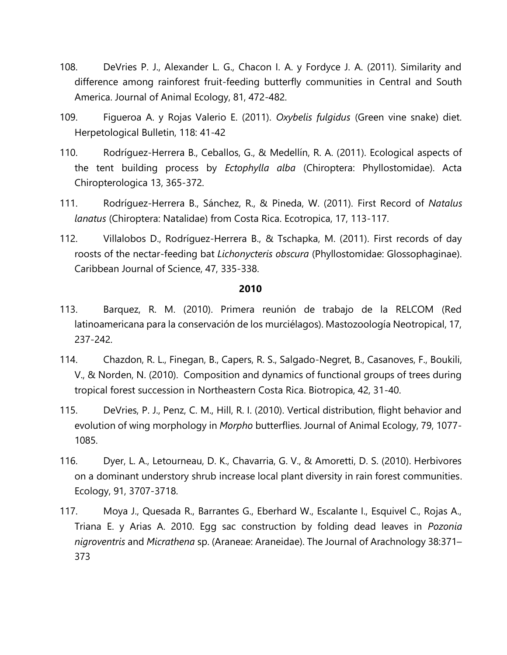- 108. DeVries P. J., Alexander L. G., Chacon I. A. y Fordyce J. A. (2011). Similarity and difference among rainforest fruit-feeding butterfly communities in Central and South America. Journal of Animal Ecology, 81, 472-482.
- 109. Figueroa A. y Rojas Valerio E. (2011). *Oxybelis fulgidus* (Green vine snake) diet. Herpetological Bulletin, 118: 41-42
- 110. Rodríguez-Herrera B., Ceballos, G., & Medellín, R. A. (2011). Ecological aspects of the tent building process by *Ectophylla alba* (Chiroptera: Phyllostomidae). Acta Chiropterologica 13, 365-372.
- 111. Rodríguez-Herrera B., Sánchez, R., & Pineda, W. (2011). First Record of *Natalus lanatus* (Chiroptera: Natalidae) from Costa Rica. Ecotropica, 17, 113-117.
- 112. Villalobos D., Rodríguez-Herrera B., & Tschapka, M. (2011). First records of day roosts of the nectar-feeding bat *Lichonycteris obscura* (Phyllostomidae: Glossophaginae). Caribbean Journal of Science, 47, 335-338.

- 113. Barquez, R. M. (2010). Primera reunión de trabajo de la RELCOM (Red latinoamericana para la conservación de los murciélagos). Mastozoología Neotropical, 17, 237-242.
- 114. Chazdon, R. L., Finegan, B., Capers, R. S., Salgado-Negret, B., Casanoves, F., Boukili, V., & Norden, N. (2010). Composition and dynamics of functional groups of trees during tropical forest succession in Northeastern Costa Rica. Biotropica, 42, 31-40.
- 115. DeVries, P. J., Penz, C. M., Hill, R. I. (2010). Vertical distribution, flight behavior and evolution of wing morphology in *Morpho* butterflies. Journal of Animal Ecology, 79, 1077- 1085.
- 116. Dyer, L. A., Letourneau, D. K., Chavarria, G. V., & Amoretti, D. S. (2010). Herbivores on a dominant understory shrub increase local plant diversity in rain forest communities. Ecology, 91, 3707-3718.
- 117. Moya J., Quesada R., Barrantes G., Eberhard W., Escalante I., Esquivel C., Rojas A., Triana E. y Arias A. 2010. Egg sac construction by folding dead leaves in *Pozonia nigroventris* and *Micrathena* sp. (Araneae: Araneidae). The Journal of Arachnology 38:371– 373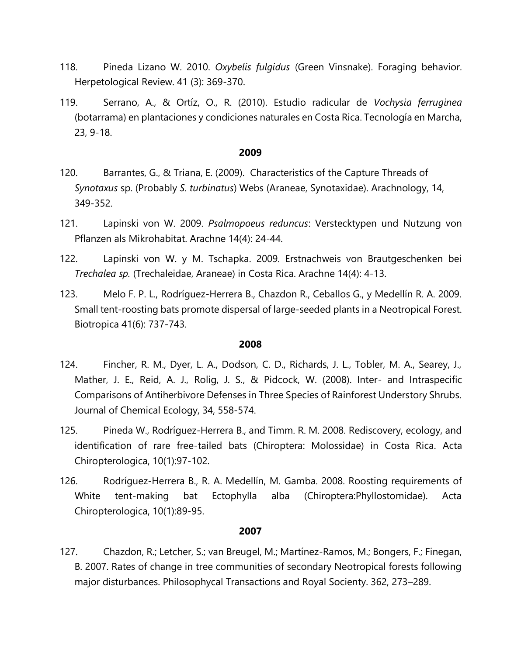- 118. Pineda Lizano W. 2010. *Oxybelis fulgidus* (Green Vinsnake). Foraging behavior. Herpetological Review. 41 (3): 369-370.
- 119. Serrano, A., & Ortíz, O., R. (2010). Estudio radicular de *Vochysia ferruginea* (botarrama) en plantaciones y condiciones naturales en Costa Rica. Tecnología en Marcha, 23, 9-18.

- 120. Barrantes, G., & Triana, E. (2009). Characteristics of the Capture Threads of *Synotaxus* sp. (Probably *S. turbinatus*) Webs (Araneae, Synotaxidae). Arachnology, 14, 349-352.
- 121. Lapinski von W. 2009. *Psalmopoeus reduncus*: Verstecktypen und Nutzung von Pflanzen als Mikrohabitat. Arachne 14(4): 24-44.
- 122. Lapinski von W. y M. Tschapka. 2009. Erstnachweis von Brautgeschenken bei *Trechalea sp.* (Trechaleidae, Araneae) in Costa Rica. Arachne 14(4): 4-13.
- 123. Melo F. P. L., Rodríguez-Herrera B., Chazdon R., Ceballos G., y Medellín R. A. 2009. Small tent-roosting bats promote dispersal of large-seeded plants in a Neotropical Forest. Biotropica 41(6): 737-743.

#### **2008**

- 124. Fincher, R. M., Dyer, L. A., Dodson, C. D., Richards, J. L., Tobler, M. A., Searey, J., Mather, J. E., Reid, A. J., Rolig, J. S., & Pidcock, W. (2008). Inter- and Intraspecific Comparisons of Antiherbivore Defenses in Three Species of Rainforest Understory Shrubs. Journal of Chemical Ecology, 34, 558-574.
- 125. Pineda W., Rodríguez-Herrera B., and Timm. R. M. 2008. Rediscovery, ecology, and identification of rare free-tailed bats (Chiroptera: Molossidae) in Costa Rica. Acta Chiropterologica, 10(1):97-102.
- 126. Rodríguez-Herrera B., R. A. Medellín, M. Gamba. 2008. Roosting requirements of White tent-making bat Ectophylla alba (Chiroptera:Phyllostomidae). Acta Chiropterologica, 10(1):89-95.

## **2007**

127. Chazdon, R.; Letcher, S.; van Breugel, M.; Martínez-Ramos, M.; Bongers, F.; Finegan, B. 2007. Rates of change in tree communities of secondary Neotropical forests following major disturbances. Philosophycal Transactions and Royal Socienty. 362, 273–289.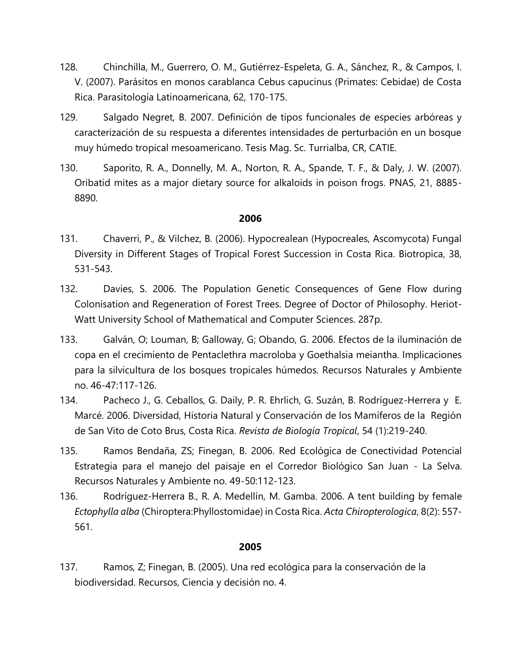- 128. Chinchilla, M., Guerrero, O. M., Gutiérrez-Espeleta, G. A., Sánchez, R., & Campos, I. V. (2007). Parásitos en monos carablanca Cebus capucinus (Primates: Cebidae) de Costa Rica. Parasitología Latinoamericana, 62, 170-175.
- 129. Salgado Negret, B. 2007. Definición de tipos funcionales de especies arbóreas y caracterización de su respuesta a diferentes intensidades de perturbación en un bosque muy húmedo tropical mesoamericano. Tesis Mag. Sc. Turrialba, CR, CATIE.
- 130. Saporito, R. A., Donnelly, M. A., Norton, R. A., Spande, T. F., & Daly, J. W. (2007). Oribatid mites as a major dietary source for alkaloids in poison frogs. PNAS, 21, 8885- 8890.

- 131. Chaverri, P., & Vilchez, B. (2006). Hypocrealean (Hypocreales, Ascomycota) Fungal Diversity in Different Stages of Tropical Forest Succession in Costa Rica. Biotropica, 38, 531-543.
- 132. Davies, S. 2006. The Population Genetic Consequences of Gene Flow during Colonisation and Regeneration of Forest Trees. Degree of Doctor of Philosophy. Heriot-Watt University School of Mathematical and Computer Sciences. 287p.
- 133. Galván, O; Louman, B; Galloway, G; Obando, G. 2006. Efectos de la iluminación de copa en el crecimiento de Pentaclethra macroloba y Goethalsia meiantha. Implicaciones para la silvicultura de los bosques tropicales húmedos. Recursos Naturales y Ambiente no. 46-47:117-126.
- 134. Pacheco J., G. Ceballos, G. Daily, P. R. Ehrlich, G. Suzán, B. Rodríguez-Herrera y E. Marcé. 2006. Diversidad, Historia Natural y Conservación de los Mamíferos de la Región de San Vito de Coto Brus, Costa Rica. *Revista de Biología Tropical*, 54 (1):219-240.
- 135. Ramos Bendaña, ZS; Finegan, B. 2006. Red Ecológica de Conectividad Potencial Estrategia para el manejo del paisaje en el Corredor Biológico San Juan - La Selva. Recursos Naturales y Ambiente no. 49-50:112-123.
- 136. Rodríguez-Herrera B., R. A. Medellín, M. Gamba. 2006. A tent building by female *Ectophylla alba* (Chiroptera:Phyllostomidae) in Costa Rica. *Acta Chiropterologica*, 8(2): 557- 561.

## **2005**

137. Ramos, Z; Finegan, B. (2005). Una red ecológica para la conservación de la biodiversidad. Recursos, Ciencia y decisión no. 4.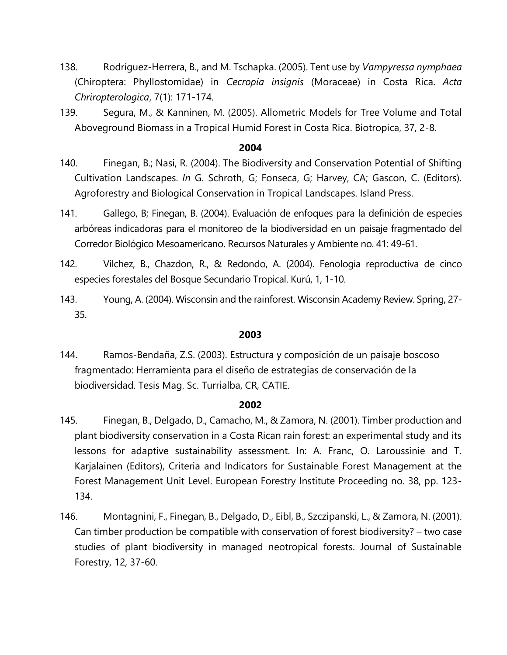- 138. Rodríguez-Herrera, B., and M. Tschapka. (2005). Tent use by *Vampyressa nymphaea* (Chiroptera: Phyllostomidae) in *Cecropia insignis* (Moraceae) in Costa Rica. *Acta Chriropterologica*, 7(1): 171-174.
- 139. Segura, M., & Kanninen, M. (2005). Allometric Models for Tree Volume and Total Aboveground Biomass in a Tropical Humid Forest in Costa Rica. Biotropica, 37, 2-8.

- 140. Finegan, B.; Nasi, R. (2004). The Biodiversity and Conservation Potential of Shifting Cultivation Landscapes. *In* G. Schroth, G; Fonseca, G; Harvey, CA; Gascon, C. (Editors). Agroforestry and Biological Conservation in Tropical Landscapes. Island Press.
- 141. Gallego, B; Finegan, B. (2004). Evaluación de enfoques para la definición de especies arbóreas indicadoras para el monitoreo de la biodiversidad en un paisaje fragmentado del Corredor Biológico Mesoamericano. Recursos Naturales y Ambiente no. 41: 49-61.
- 142. Vilchez, B., Chazdon, R., & Redondo, A. (2004). Fenología reproductiva de cinco especies forestales del Bosque Secundario Tropical. Kurú, 1, 1-10.
- 143. Young, A. (2004). Wisconsin and the rainforest. Wisconsin Academy Review. Spring, 27- 35.

## **2003**

144. Ramos-Bendaña, Z.S. (2003). Estructura y composición de un paisaje boscoso fragmentado: Herramienta para el diseño de estrategias de conservación de la biodiversidad. Tesis Mag. Sc. Turrialba, CR, CATIE.

- 145. Finegan, B., Delgado, D., Camacho, M., & Zamora, N. (2001). Timber production and plant biodiversity conservation in a Costa Rican rain forest: an experimental study and its lessons for adaptive sustainability assessment. In: A. Franc, O. Laroussinie and T. Karjalainen (Editors), Criteria and Indicators for Sustainable Forest Management at the Forest Management Unit Level. European Forestry Institute Proceeding no. 38, pp. 123- 134.
- 146. Montagnini, F., Finegan, B., Delgado, D., Eibl, B., Szczipanski, L., & Zamora, N. (2001). Can timber production be compatible with conservation of forest biodiversity? – two case studies of plant biodiversity in managed neotropical forests. Journal of Sustainable Forestry, 12, 37-60.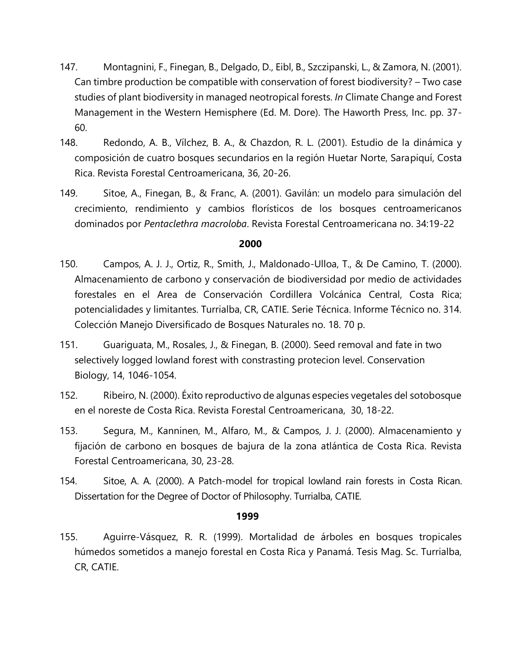- 147. Montagnini, F., Finegan, B., Delgado, D., Eibl, B., Szczipanski, L., & Zamora, N. (2001). Can timbre production be compatible with conservation of forest biodiversity? – Two case studies of plant biodiversity in managed neotropical forests. *In* Climate Change and Forest Management in the Western Hemisphere (Ed. M. Dore). The Haworth Press, Inc. pp. 37- 60.
- 148. Redondo, A. B., Vílchez, B. A., & Chazdon, R. L. (2001). Estudio de la dinámica y composición de cuatro bosques secundarios en la región Huetar Norte, Sarapiquí, Costa Rica. Revista Forestal Centroamericana, 36, 20-26.
- 149. Sitoe, A., Finegan, B., & Franc, A. (2001). Gavilán: un modelo para simulación del crecimiento, rendimiento y cambios florísticos de los bosques centroamericanos dominados por *Pentaclethra macroloba*. Revista Forestal Centroamericana no. 34:19-22

- 150. Campos, A. J. J., Ortiz, R., Smith, J., Maldonado-Ulloa, T., & De Camino, T. (2000). Almacenamiento de carbono y conservación de biodiversidad por medio de actividades forestales en el Area de Conservación Cordillera Volcánica Central, Costa Rica; potencialidades y limitantes. Turrialba, CR, CATIE. Serie Técnica. Informe Técnico no. 314. Colección Manejo Diversificado de Bosques Naturales no. 18. 70 p.
- 151. Guariguata, M., Rosales, J., & Finegan, B. (2000). Seed removal and fate in two selectively logged lowland forest with constrasting protecion level. Conservation Biology, 14, 1046-1054.
- 152. Ribeiro, N. (2000). Éxito reproductivo de algunas especies vegetales del sotobosque en el noreste de Costa Rica. Revista Forestal Centroamericana, 30, 18-22.
- 153. Segura, M., Kanninen, M., Alfaro, M., & Campos, J. J. (2000). Almacenamiento y fijación de carbono en bosques de bajura de la zona atlántica de Costa Rica. Revista Forestal Centroamericana, 30, 23-28.
- 154. Sitoe, A. A. (2000). A Patch-model for tropical lowland rain forests in Costa Rican. Dissertation for the Degree of Doctor of Philosophy. Turrialba, CATIE.

## **1999**

155. Aguirre-Vásquez, R. R. (1999). Mortalidad de árboles en bosques tropicales húmedos sometidos a manejo forestal en Costa Rica y Panamá. Tesis Mag. Sc. Turrialba, CR, CATIE.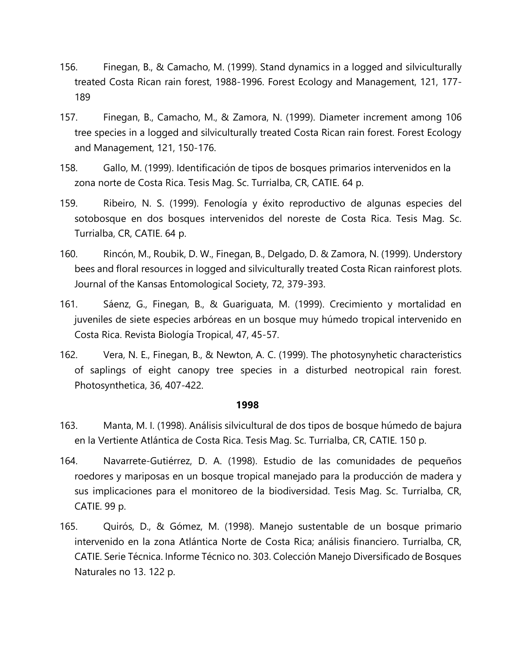- 156. Finegan, B., & Camacho, M. (1999). Stand dynamics in a logged and silviculturally treated Costa Rican rain forest, 1988-1996. Forest Ecology and Management, 121, 177- 189
- 157. Finegan, B., Camacho, M., & Zamora, N. (1999). Diameter increment among 106 tree species in a logged and silviculturally treated Costa Rican rain forest. Forest Ecology and Management, 121, 150-176.
- 158. Gallo, M. (1999). Identificación de tipos de bosques primarios intervenidos en la zona norte de Costa Rica. Tesis Mag. Sc. Turrialba, CR, CATIE. 64 p.
- 159. Ribeiro, N. S. (1999). Fenología y éxito reproductivo de algunas especies del sotobosque en dos bosques intervenidos del noreste de Costa Rica. Tesis Mag. Sc. Turrialba, CR, CATIE. 64 p.
- 160. Rincón, M., Roubik, D. W., Finegan, B., Delgado, D. & Zamora, N. (1999). Understory bees and floral resources in logged and silviculturally treated Costa Rican rainforest plots. Journal of the Kansas Entomological Society, 72, 379-393.
- 161. Sáenz, G., Finegan, B., & Guariguata, M. (1999). Crecimiento y mortalidad en juveniles de siete especies arbóreas en un bosque muy húmedo tropical intervenido en Costa Rica. Revista Biología Tropical, 47, 45-57.
- 162. Vera, N. E., Finegan, B., & Newton, A. C. (1999). The photosynyhetic characteristics of saplings of eight canopy tree species in a disturbed neotropical rain forest. Photosynthetica, 36, 407-422.

- 163. Manta, M. I. (1998). Análisis silvicultural de dos tipos de bosque húmedo de bajura en la Vertiente Atlántica de Costa Rica. Tesis Mag. Sc. Turrialba, CR, CATIE. 150 p.
- 164. Navarrete-Gutiérrez, D. A. (1998). Estudio de las comunidades de pequeños roedores y mariposas en un bosque tropical manejado para la producción de madera y sus implicaciones para el monitoreo de la biodiversidad. Tesis Mag. Sc. Turrialba, CR, CATIE. 99 p.
- 165. Quirós, D., & Gómez, M. (1998). Manejo sustentable de un bosque primario intervenido en la zona Atlántica Norte de Costa Rica; análisis financiero. Turrialba, CR, CATIE. Serie Técnica. Informe Técnico no. 303. Colección Manejo Diversificado de Bosques Naturales no 13. 122 p.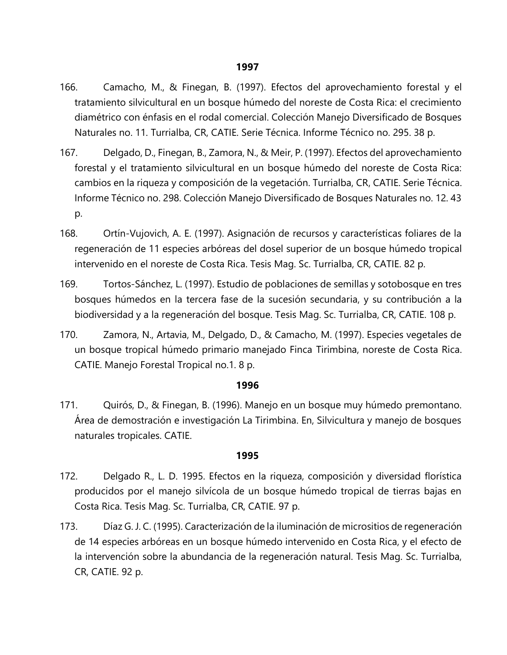- 166. Camacho, M., & Finegan, B. (1997). Efectos del aprovechamiento forestal y el tratamiento silvicultural en un bosque húmedo del noreste de Costa Rica: el crecimiento diamétrico con énfasis en el rodal comercial. Colección Manejo Diversificado de Bosques Naturales no. 11. Turrialba, CR, CATIE. Serie Técnica. Informe Técnico no. 295. 38 p.
- 167. Delgado, D., Finegan, B., Zamora, N., & Meir, P. (1997). Efectos del aprovechamiento forestal y el tratamiento silvicultural en un bosque húmedo del noreste de Costa Rica: cambios en la riqueza y composición de la vegetación. Turrialba, CR, CATIE. Serie Técnica. Informe Técnico no. 298. Colección Manejo Diversificado de Bosques Naturales no. 12. 43 p.
- 168. Ortín-Vujovich, A. E. (1997). Asignación de recursos y características foliares de la regeneración de 11 especies arbóreas del dosel superior de un bosque húmedo tropical intervenido en el noreste de Costa Rica. Tesis Mag. Sc. Turrialba, CR, CATIE. 82 p.
- 169. Tortos-Sánchez, L. (1997). Estudio de poblaciones de semillas y sotobosque en tres bosques húmedos en la tercera fase de la sucesión secundaria, y su contribución a la biodiversidad y a la regeneración del bosque. Tesis Mag. Sc. Turrialba, CR, CATIE. 108 p.
- 170. Zamora, N., Artavia, M., Delgado, D., & Camacho, M. (1997). Especies vegetales de un bosque tropical húmedo primario manejado Finca Tirimbina, noreste de Costa Rica. CATIE. Manejo Forestal Tropical no.1. 8 p.

171. Quirós, D., & Finegan, B. (1996). Manejo en un bosque muy húmedo premontano. Área de demostración e investigación La Tirimbina. En, Silvicultura y manejo de bosques naturales tropicales. CATIE.

- 172. Delgado R., L. D. 1995. Efectos en la riqueza, composición y diversidad florística producidos por el manejo silvícola de un bosque húmedo tropical de tierras bajas en Costa Rica. Tesis Mag. Sc. Turrialba, CR, CATIE. 97 p.
- 173. Díaz G. J. C. (1995). Caracterización de la iluminación de micrositios de regeneración de 14 especies arbóreas en un bosque húmedo intervenido en Costa Rica, y el efecto de la intervención sobre la abundancia de la regeneración natural. Tesis Mag. Sc. Turrialba, CR, CATIE. 92 p.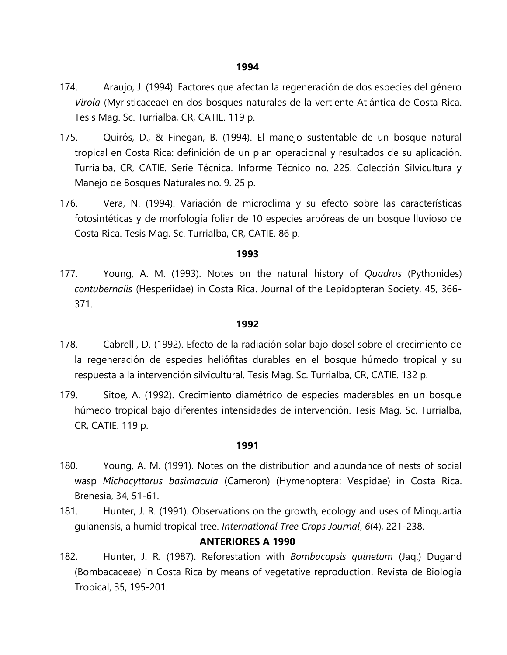- 174. Araujo, J. (1994). Factores que afectan la regeneración de dos especies del género *Virola* (Myristicaceae) en dos bosques naturales de la vertiente Atlántica de Costa Rica. Tesis Mag. Sc. Turrialba, CR, CATIE. 119 p.
- 175. Quirós, D., & Finegan, B. (1994). El manejo sustentable de un bosque natural tropical en Costa Rica: definición de un plan operacional y resultados de su aplicación. Turrialba, CR, CATIE. Serie Técnica. Informe Técnico no. 225. Colección Silvicultura y Manejo de Bosques Naturales no. 9. 25 p.
- 176. Vera, N. (1994). Variación de microclima y su efecto sobre las características fotosintéticas y de morfología foliar de 10 especies arbóreas de un bosque lluvioso de Costa Rica. Tesis Mag. Sc. Turrialba, CR, CATIE. 86 p.

177. Young, A. M. (1993). Notes on the natural history of *Quadrus* (Pythonides) *contubernalis* (Hesperiidae) in Costa Rica. Journal of the Lepidopteran Society, 45, 366- 371.

#### **1992**

- 178. Cabrelli, D. (1992). Efecto de la radiación solar bajo dosel sobre el crecimiento de la regeneración de especies heliófitas durables en el bosque húmedo tropical y su respuesta a la intervención silvicultural. Tesis Mag. Sc. Turrialba, CR, CATIE. 132 p.
- 179. Sitoe, A. (1992). Crecimiento diamétrico de especies maderables en un bosque húmedo tropical bajo diferentes intensidades de intervención. Tesis Mag. Sc. Turrialba, CR, CATIE. 119 p.

#### **1991**

- 180. Young, A. M. (1991). Notes on the distribution and abundance of nests of social wasp *Michocyttarus basimacula* (Cameron) (Hymenoptera: Vespidae) in Costa Rica. Brenesia, 34, 51-61.
- 181. Hunter, J. R. (1991). Observations on the growth, ecology and uses of Minquartia guianensis, a humid tropical tree. *International Tree Crops Journal*, *6*(4), 221-238.

## **ANTERIORES A 1990**

182. Hunter, J. R. (1987). Reforestation with *Bombacopsis quinetum* (Jaq.) Dugand (Bombacaceae) in Costa Rica by means of vegetative reproduction. Revista de Biología Tropical, 35, 195-201.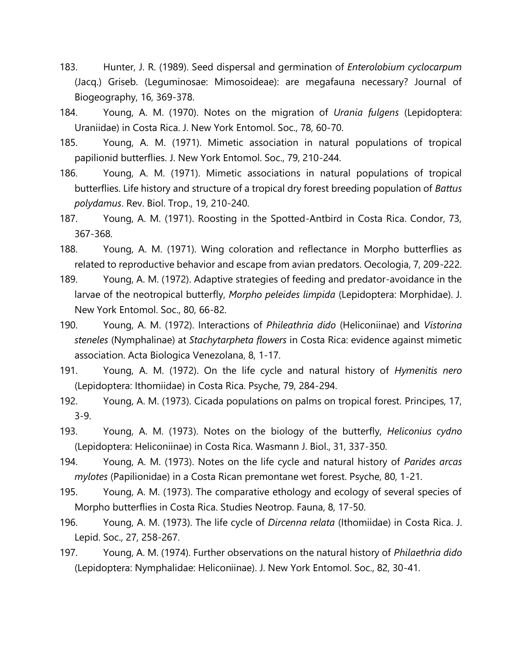- 183. Hunter, J. R. (1989). Seed dispersal and germination of *Enterolobium cyclocarpum* (Jacq.) Griseb. (Leguminosae: Mimosoideae): are megafauna necessary? Journal of Biogeography, 16, 369-378.
- 184. Young, A. M. (1970). Notes on the migration of *Urania fulgens* (Lepidoptera: Uraniidae) in Costa Rica. J. New York Entomol. Soc., 78, 60-70.
- 185. Young, A. M. (1971). Mimetic association in natural populations of tropical papilionid butterflies. J. New York Entomol. Soc., 79, 210-244.
- 186. Young, A. M. (1971). Mimetic associations in natural populations of tropical butterflies. Life history and structure of a tropical dry forest breeding population of *Battus polydamus*. Rev. Biol. Trop., 19, 210-240.
- 187. Young, A. M. (1971). Roosting in the Spotted-Antbird in Costa Rica. Condor, 73, 367-368.
- 188. Young, A. M. (1971). Wing coloration and reflectance in Morpho butterflies as related to reproductive behavior and escape from avian predators. Oecologia, 7, 209-222.
- 189. Young, A. M. (1972). Adaptive strategies of feeding and predator-avoidance in the larvae of the neotropical butterfly, *Morpho peleides limpida* (Lepidoptera: Morphidae). J. New York Entomol. Soc., 80, 66-82.
- 190. Young, A. M. (1972). Interactions of *Phileathria dido* (Heliconiinae) and *Vistorina steneles* (Nymphalinae) at *Stachytarpheta flowers* in Costa Rica: evidence against mimetic association. Acta Biologica Venezolana, 8, 1-17.
- 191. Young, A. M. (1972). On the life cycle and natural history of *Hymenitis nero* (Lepidoptera: Ithomiidae) in Costa Rica. Psyche, 79, 284-294.
- 192. Young, A. M. (1973). Cicada populations on palms on tropical forest. Principes, 17, 3-9.
- 193. Young, A. M. (1973). Notes on the biology of the butterfly, *Heliconius cydno* (Lepidoptera: Heliconiinae) in Costa Rica. Wasmann J. Biol., 31, 337-350.
- 194. Young, A. M. (1973). Notes on the life cycle and natural history of *Parides arcas mylotes* (Papilionidae) in a Costa Rican premontane wet forest. Psyche, 80, 1-21.
- 195. Young, A. M. (1973). The comparative ethology and ecology of several species of Morpho butterflies in Costa Rica. Studies Neotrop. Fauna, 8, 17-50.
- 196. Young, A. M. (1973). The life cycle of *Dircenna relata* (Ithomiidae) in Costa Rica. J. Lepid. Soc., 27, 258-267.
- 197. Young, A. M. (1974). Further observations on the natural history of *Philaethria dido* (Lepidoptera: Nymphalidae: Heliconiinae). J. New York Entomol. Soc., 82, 30-41.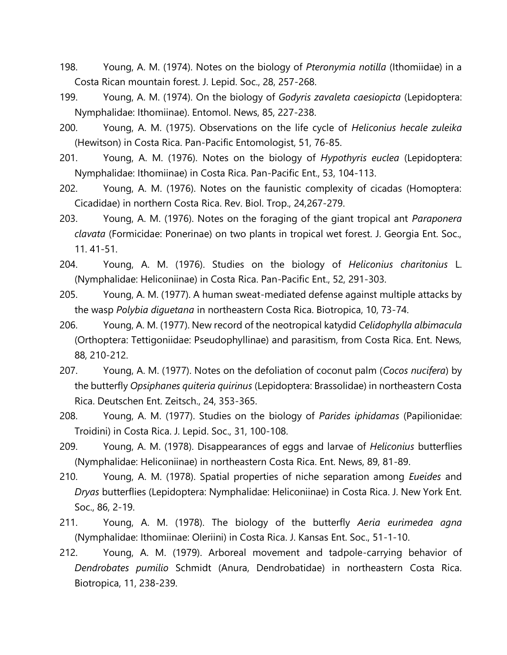- 198. Young, A. M. (1974). Notes on the biology of *Pteronymia notilla* (Ithomiidae) in a Costa Rican mountain forest. J. Lepid. Soc., 28, 257-268.
- 199. Young, A. M. (1974). On the biology of *Godyris zavaleta caesiopicta* (Lepidoptera: Nymphalidae: Ithomiinae). Entomol. News, 85, 227-238.
- 200. Young, A. M. (1975). Observations on the life cycle of *Heliconius hecale zuleika* (Hewitson) in Costa Rica. Pan-Pacific Entomologist, 51, 76-85.
- 201. Young, A. M. (1976). Notes on the biology of *Hypothyris euclea* (Lepidoptera: Nymphalidae: Ithomiinae) in Costa Rica. Pan-Pacific Ent., 53, 104-113.
- 202. Young, A. M. (1976). Notes on the faunistic complexity of cicadas (Homoptera: Cicadidae) in northern Costa Rica. Rev. Biol. Trop., 24,267-279.
- 203. Young, A. M. (1976). Notes on the foraging of the giant tropical ant *Paraponera clavata* (Formicidae: Ponerinae) on two plants in tropical wet forest. J. Georgia Ent. Soc., 11. 41-51.
- 204. Young, A. M. (1976). Studies on the biology of *Heliconius charitonius* L. (Nymphalidae: Heliconiinae) in Costa Rica. Pan-Pacific Ent., 52, 291-303.
- 205. Young, A. M. (1977). A human sweat-mediated defense against multiple attacks by the wasp *Polybia diguetana* in northeastern Costa Rica. Biotropica, 10, 73-74.
- 206. Young, A. M. (1977). New record of the neotropical katydid *Celidophylla albimacula* (Orthoptera: Tettigoniidae: Pseudophyllinae) and parasitism, from Costa Rica. Ent. News, 88, 210-212.
- 207. Young, A. M. (1977). Notes on the defoliation of coconut palm (*Cocos nucifera*) by the butterfly *Opsiphanes quiteria quirinus* (Lepidoptera: Brassolidae) in northeastern Costa Rica. Deutschen Ent. Zeitsch., 24, 353-365.
- 208. Young, A. M. (1977). Studies on the biology of *Parides iphidamas* (Papilionidae: Troidini) in Costa Rica. J. Lepid. Soc., 31, 100-108.
- 209. Young, A. M. (1978). Disappearances of eggs and larvae of *Heliconius* butterflies (Nymphalidae: Heliconiinae) in northeastern Costa Rica. Ent. News, 89, 81-89.
- 210. Young, A. M. (1978). Spatial properties of niche separation among *Eueides* and *Dryas* butterflies (Lepidoptera: Nymphalidae: Heliconiinae) in Costa Rica. J. New York Ent. Soc., 86, 2-19.
- 211. Young, A. M. (1978). The biology of the butterfly *Aeria eurimedea agna* (Nymphalidae: Ithomiinae: Oleriini) in Costa Rica. J. Kansas Ent. Soc., 51-1-10.
- 212. Young, A. M. (1979). Arboreal movement and tadpole-carrying behavior of *Dendrobates pumilio* Schmidt (Anura, Dendrobatidae) in northeastern Costa Rica. Biotropica, 11, 238-239.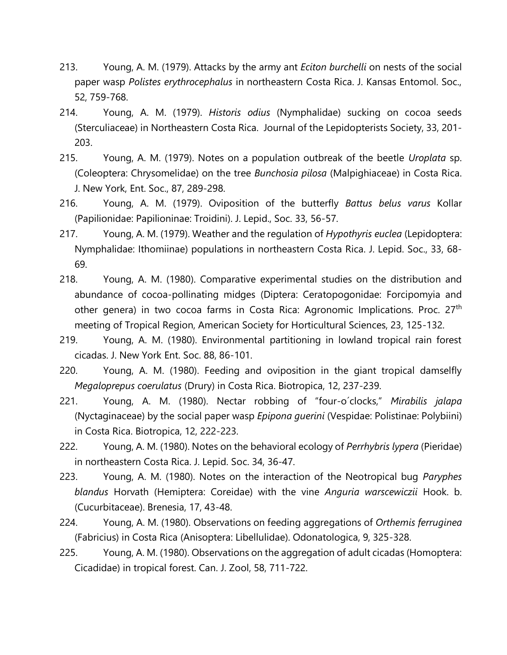- 213. Young, A. M. (1979). Attacks by the army ant *Eciton burchelli* on nests of the social paper wasp *Polistes erythrocephalus* in northeastern Costa Rica. J. Kansas Entomol. Soc., 52, 759-768.
- 214. Young, A. M. (1979). *Historis odius* (Nymphalidae) sucking on cocoa seeds (Sterculiaceae) in Northeastern Costa Rica. Journal of the Lepidopterists Society, 33, 201- 203.
- 215. Young, A. M. (1979). Notes on a population outbreak of the beetle *Uroplata* sp. (Coleoptera: Chrysomelidae) on the tree *Bunchosia pilosa* (Malpighiaceae) in Costa Rica. J. New York, Ent. Soc., 87, 289-298.
- 216. Young, A. M. (1979). Oviposition of the butterfly *Battus belus varus* Kollar (Papilionidae: Papilioninae: Troidini). J. Lepid., Soc. 33, 56-57.
- 217. Young, A. M. (1979). Weather and the regulation of *Hypothyris euclea* (Lepidoptera: Nymphalidae: Ithomiinae) populations in northeastern Costa Rica. J. Lepid. Soc., 33, 68- 69.
- 218. Young, A. M. (1980). Comparative experimental studies on the distribution and abundance of cocoa-pollinating midges (Diptera: Ceratopogonidae: Forcipomyia and other genera) in two cocoa farms in Costa Rica: Agronomic Implications. Proc. 27<sup>th</sup> meeting of Tropical Region, American Society for Horticultural Sciences, 23, 125-132.
- 219. Young, A. M. (1980). Environmental partitioning in lowland tropical rain forest cicadas. J. New York Ent. Soc. 88, 86-101.
- 220. Young, A. M. (1980). Feeding and oviposition in the giant tropical damselfly *Megaloprepus coerulatus* (Drury) in Costa Rica. Biotropica, 12, 237-239.
- 221. Young, A. M. (1980). Nectar robbing of "four-o´clocks," *Mirabilis jalapa* (Nyctaginaceae) by the social paper wasp *Epipona guerini* (Vespidae: Polistinae: Polybiini) in Costa Rica. Biotropica, 12, 222-223.
- 222. Young, A. M. (1980). Notes on the behavioral ecology of *Perrhybris lypera* (Pieridae) in northeastern Costa Rica. J. Lepid. Soc. 34, 36-47.
- 223. Young, A. M. (1980). Notes on the interaction of the Neotropical bug *Paryphes blandus* Horvath (Hemiptera: Coreidae) with the vine *Anguria warscewiczii* Hook. b. (Cucurbitaceae). Brenesia, 17, 43-48.
- 224. Young, A. M. (1980). Observations on feeding aggregations of *Orthemis ferruginea* (Fabricius) in Costa Rica (Anisoptera: Libellulidae). Odonatologica, 9, 325-328.
- 225. Young, A. M. (1980). Observations on the aggregation of adult cicadas (Homoptera: Cicadidae) in tropical forest. Can. J. Zool, 58, 711-722.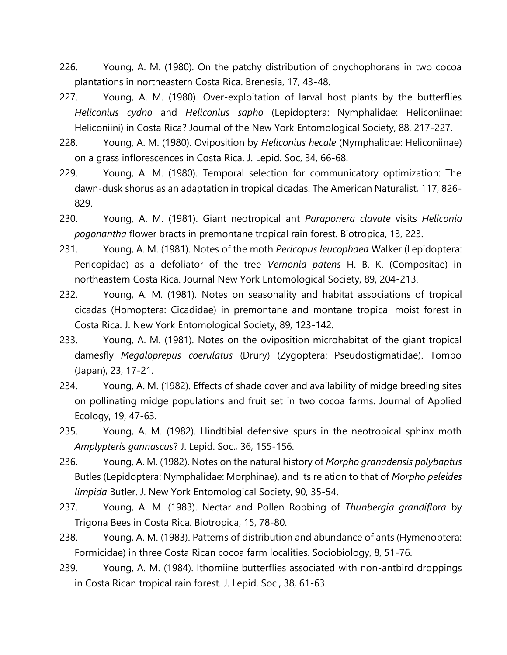- 226. Young, A. M. (1980). On the patchy distribution of onychophorans in two cocoa plantations in northeastern Costa Rica. Brenesia, 17, 43-48.
- 227. Young, A. M. (1980). Over-exploitation of larval host plants by the butterflies *Heliconius cydno* and *Heliconius sapho* (Lepidoptera: Nymphalidae: Heliconiinae: Heliconiini) in Costa Rica? Journal of the New York Entomological Society, 88, 217-227.
- 228. Young, A. M. (1980). Oviposition by *Heliconius hecale* (Nymphalidae: Heliconiinae) on a grass inflorescences in Costa Rica. J. Lepid. Soc, 34, 66-68.
- 229. Young, A. M. (1980). Temporal selection for communicatory optimization: The dawn-dusk shorus as an adaptation in tropical cicadas. The American Naturalist, 117, 826- 829.
- 230. Young, A. M. (1981). Giant neotropical ant *Paraponera clavate* visits *Heliconia pogonantha* flower bracts in premontane tropical rain forest. Biotropica, 13, 223.
- 231. Young, A. M. (1981). Notes of the moth *Pericopus leucophaea* Walker (Lepidoptera: Pericopidae) as a defoliator of the tree *Vernonia patens* H. B. K. (Compositae) in northeastern Costa Rica. Journal New York Entomological Society, 89, 204-213.
- 232. Young, A. M. (1981). Notes on seasonality and habitat associations of tropical cicadas (Homoptera: Cicadidae) in premontane and montane tropical moist forest in Costa Rica. J. New York Entomological Society, 89, 123-142.
- 233. Young, A. M. (1981). Notes on the oviposition microhabitat of the giant tropical damesfly *Megaloprepus coerulatus* (Drury) (Zygoptera: Pseudostigmatidae). Tombo (Japan), 23, 17-21.
- 234. Young, A. M. (1982). Effects of shade cover and availability of midge breeding sites on pollinating midge populations and fruit set in two cocoa farms. Journal of Applied Ecology, 19, 47-63.
- 235. Young, A. M. (1982). Hindtibial defensive spurs in the neotropical sphinx moth *Amplypteris gannascus*? J. Lepid. Soc., 36, 155-156.
- 236. Young, A. M. (1982). Notes on the natural history of *Morpho granadensis polybaptus* Butles (Lepidoptera: Nymphalidae: Morphinae), and its relation to that of *Morpho peleides limpida* Butler. J. New York Entomological Society, 90, 35-54.
- 237. Young, A. M. (1983). Nectar and Pollen Robbing of *Thunbergia grandiflora* by Trigona Bees in Costa Rica. Biotropica, 15, 78-80.
- 238. Young, A. M. (1983). Patterns of distribution and abundance of ants (Hymenoptera: Formicidae) in three Costa Rican cocoa farm localities. Sociobiology, 8, 51-76.
- 239. Young, A. M. (1984). Ithomiine butterflies associated with non-antbird droppings in Costa Rican tropical rain forest. J. Lepid. Soc., 38, 61-63.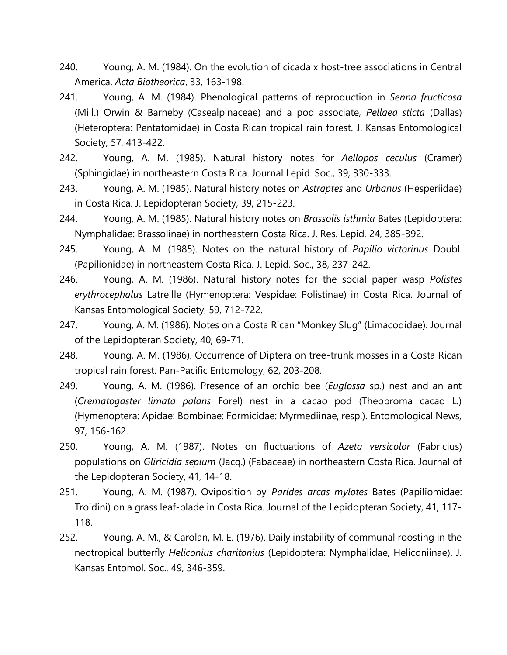- 240. Young, A. M. (1984). On the evolution of cicada x host-tree associations in Central America. *Acta Biotheorica*, 33, 163-198.
- 241. Young, A. M. (1984). Phenological patterns of reproduction in *Senna fructicosa* (Mill.) Orwin & Barneby (Casealpinaceae) and a pod associate, *Pellaea sticta* (Dallas) (Heteroptera: Pentatomidae) in Costa Rican tropical rain forest. J. Kansas Entomological Society, 57, 413-422.
- 242. Young, A. M. (1985). Natural history notes for *Aellopos ceculus* (Cramer) (Sphingidae) in northeastern Costa Rica. Journal Lepid. Soc., 39, 330-333.
- 243. Young, A. M. (1985). Natural history notes on *Astraptes* and *Urbanus* (Hesperiidae) in Costa Rica. J. Lepidopteran Society, 39, 215-223.
- 244. Young, A. M. (1985). Natural history notes on *Brassolis isthmia* Bates (Lepidoptera: Nymphalidae: Brassolinae) in northeastern Costa Rica. J. Res. Lepid, 24, 385-392.
- 245. Young, A. M. (1985). Notes on the natural history of *Papilio victorinus* Doubl. (Papilionidae) in northeastern Costa Rica. J. Lepid. Soc., 38, 237-242.
- 246. Young, A. M. (1986). Natural history notes for the social paper wasp *Polistes erythrocephalus* Latreille (Hymenoptera: Vespidae: Polistinae) in Costa Rica. Journal of Kansas Entomological Society, 59, 712-722.
- 247. Young, A. M. (1986). Notes on a Costa Rican "Monkey Slug" (Limacodidae). Journal of the Lepidopteran Society, 40, 69-71.
- 248. Young, A. M. (1986). Occurrence of Diptera on tree-trunk mosses in a Costa Rican tropical rain forest. Pan-Pacific Entomology, 62, 203-208.
- 249. Young, A. M. (1986). Presence of an orchid bee (*Euglossa* sp.) nest and an ant (*Crematogaster limata palans* Forel) nest in a cacao pod (Theobroma cacao L.) (Hymenoptera: Apidae: Bombinae: Formicidae: Myrmediinae, resp.). Entomological News, 97, 156-162.
- 250. Young, A. M. (1987). Notes on fluctuations of *Azeta versicolor* (Fabricius) populations on *Gliricidia sepium* (Jacq.) (Fabaceae) in northeastern Costa Rica. Journal of the Lepidopteran Society, 41, 14-18.
- 251. Young, A. M. (1987). Oviposition by *Parides arcas mylotes* Bates (Papiliomidae: Troidini) on a grass leaf-blade in Costa Rica. Journal of the Lepidopteran Society, 41, 117- 118.
- 252. Young, A. M., & Carolan, M. E. (1976). Daily instability of communal roosting in the neotropical butterfly *Heliconius charitonius* (Lepidoptera: Nymphalidae, Heliconiinae). J. Kansas Entomol. Soc., 49, 346-359.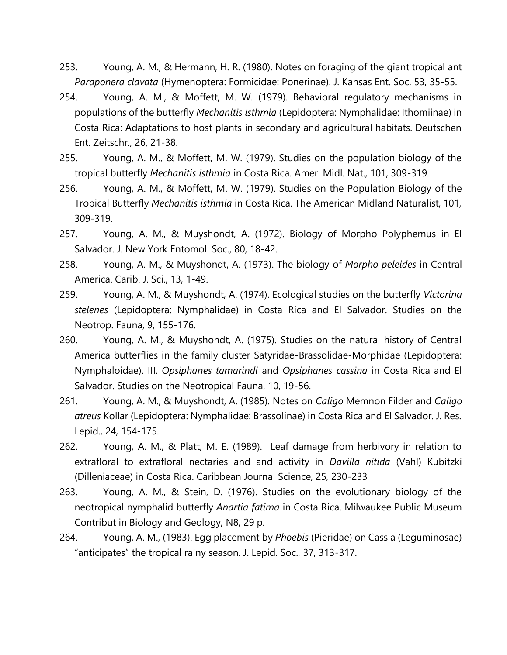- 253. Young, A. M., & Hermann, H. R. (1980). Notes on foraging of the giant tropical ant *Paraponera clavata* (Hymenoptera: Formicidae: Ponerinae). J. Kansas Ent. Soc. 53, 35-55.
- 254. Young, A. M., & Moffett, M. W. (1979). Behavioral regulatory mechanisms in populations of the butterfly *Mechanitis isthmia* (Lepidoptera: Nymphalidae: Ithomiinae) in Costa Rica: Adaptations to host plants in secondary and agricultural habitats. Deutschen Ent. Zeitschr., 26, 21-38.
- 255. Young, A. M., & Moffett, M. W. (1979). Studies on the population biology of the tropical butterfly *Mechanitis isthmia* in Costa Rica. Amer. Midl. Nat., 101, 309-319.
- 256. Young, A. M., & Moffett, M. W. (1979). Studies on the Population Biology of the Tropical Butterfly *Mechanitis isthmia* in Costa Rica. The American Midland Naturalist, 101, 309-319.
- 257. Young, A. M., & Muyshondt, A. (1972). Biology of Morpho Polyphemus in El Salvador. J. New York Entomol. Soc., 80, 18-42.
- 258. Young, A. M., & Muyshondt, A. (1973). The biology of *Morpho peleides* in Central America. Carib. J. Sci., 13, 1-49.
- 259. Young, A. M., & Muyshondt, A. (1974). Ecological studies on the butterfly *Victorina stelenes* (Lepidoptera: Nymphalidae) in Costa Rica and El Salvador. Studies on the Neotrop. Fauna, 9, 155-176.
- 260. Young, A. M., & Muyshondt, A. (1975). Studies on the natural history of Central America butterflies in the family cluster Satyridae-Brassolidae-Morphidae (Lepidoptera: Nymphaloidae). III. *Opsiphanes tamarindi* and *Opsiphanes cassina* in Costa Rica and El Salvador. Studies on the Neotropical Fauna, 10, 19-56.
- 261. Young, A. M., & Muyshondt, A. (1985). Notes on *Caligo* Memnon Filder and *Caligo atreus* Kollar (Lepidoptera: Nymphalidae: Brassolinae) in Costa Rica and El Salvador. J. Res. Lepid., 24, 154-175.
- 262. Young, A. M., & Platt, M. E. (1989). Leaf damage from herbivory in relation to extrafloral to extrafloral nectaries and and activity in *Davilla nitida* (Vahl) Kubitzki (Dilleniaceae) in Costa Rica. Caribbean Journal Science, 25, 230-233
- 263. Young, A. M., & Stein, D. (1976). Studies on the evolutionary biology of the neotropical nymphalid butterfly *Anartia fatima* in Costa Rica. Milwaukee Public Museum Contribut in Biology and Geology, N8, 29 p.
- 264. Young, A. M., (1983). Egg placement by *Phoebis* (Pieridae) on Cassia (Leguminosae) "anticipates" the tropical rainy season. J. Lepid. Soc., 37, 313-317.